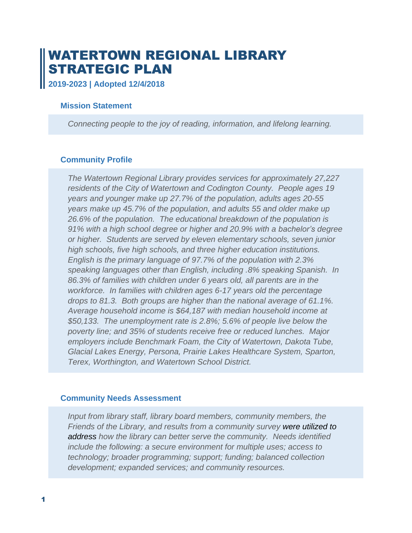# WATERTOWN REGIONAL LIBRARY STRATEGIC PLAN

**2019-2023 | Adopted 12/4/2018**

## **Mission Statement**

*Connecting people to the joy of reading, information, and lifelong learning.*

## **Community Profile**

*The Watertown Regional Library provides services for approximately 27,227 residents of the City of Watertown and Codington County. People ages 19 years and younger make up 27.7% of the population, adults ages 20-55 years make up 45.7% of the population, and adults 55 and older make up 26.6% of the population. The educational breakdown of the population is 91% with a high school degree or higher and 20.9% with a bachelor's degree or higher. Students are served by eleven elementary schools, seven junior high schools, five high schools, and three higher education institutions. English is the primary language of 97.7% of the population with 2.3% speaking languages other than English, including .8% speaking Spanish. In 86.3% of families with children under 6 years old, all parents are in the workforce. In families with children ages 6-17 years old the percentage drops to 81.3. Both groups are higher than the national average of 61.1%. Average household income is \$64,187 with median household income at \$50,133. The unemployment rate is 2.8%; 5.6% of people live below the poverty line; and 35% of students receive free or reduced lunches. Major employers include Benchmark Foam, the City of Watertown, Dakota Tube, Glacial Lakes Energy, Persona, Prairie Lakes Healthcare System, Sparton, Terex, Worthington, and Watertown School District.*

## **Community Needs Assessment**

*Input from library staff, library board members, community members, the Friends of the Library, and results from a community survey were utilized to address how the library can better serve the community. Needs identified include the following: a secure environment for multiple uses; access to technology; broader programming; support; funding; balanced collection development; expanded services; and community resources.*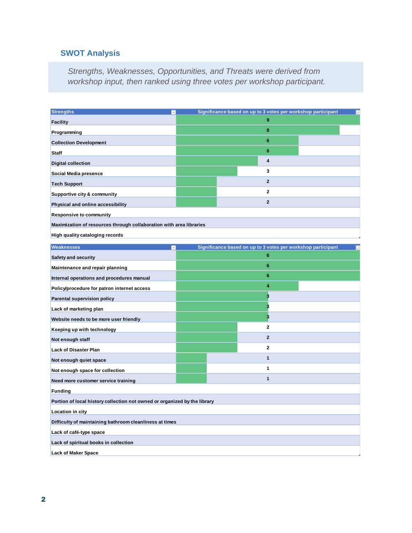## **SWOT Analysis**

*Strengths, Weaknesses, Opportunities, and Threats were derived from workshop input, then ranked using three votes per workshop participant.*

| <b>Strengths</b><br>×                                                     | Significance based on up to 3 votes per workshop participant<br>$\overline{\phantom{a}}$ |                                                              |      |  |
|---------------------------------------------------------------------------|------------------------------------------------------------------------------------------|--------------------------------------------------------------|------|--|
| <b>Facility</b>                                                           |                                                                                          | 9                                                            |      |  |
| Programming                                                               |                                                                                          | 8                                                            |      |  |
| <b>Collection Development</b>                                             |                                                                                          | 6                                                            |      |  |
| <b>Staff</b>                                                              |                                                                                          | 6                                                            |      |  |
| <b>Digital collection</b>                                                 |                                                                                          | 4                                                            |      |  |
| Social Media presence                                                     |                                                                                          | 3                                                            |      |  |
| <b>Tech Support</b>                                                       |                                                                                          | $\mathbf{2}$                                                 |      |  |
| Supportive city & community                                               |                                                                                          | 2                                                            |      |  |
| Physical and online accessibility                                         |                                                                                          | $\mathbf{2}$                                                 |      |  |
| <b>Responsive to community</b>                                            |                                                                                          |                                                              |      |  |
| Maximization of resources through collaboration with area libraries       |                                                                                          |                                                              |      |  |
| High quality cataloging records                                           |                                                                                          |                                                              |      |  |
| <b>Weaknesses</b><br>$\mathbf{v}$                                         |                                                                                          | Significance based on up to 3 votes per workshop participant | ا پا |  |
| <b>Safety and security</b>                                                |                                                                                          | 6                                                            |      |  |
| Maintenance and repair planning                                           |                                                                                          | 6                                                            |      |  |
| Internal operations and procedures manual                                 |                                                                                          | 6                                                            |      |  |
| Policy/procedure for patron internet access                               |                                                                                          | 4                                                            |      |  |
| Parental supervision policy                                               |                                                                                          | 3                                                            |      |  |
| Lack of marketing plan                                                    |                                                                                          | 3                                                            |      |  |
| Website needs to be more user friendly                                    |                                                                                          | 3                                                            |      |  |
| Keeping up with technology                                                |                                                                                          | $\overline{2}$                                               |      |  |
| Not enough staff                                                          |                                                                                          | $\mathbf{2}$                                                 |      |  |
| <b>Lack of Disaster Plan</b>                                              |                                                                                          | 2                                                            |      |  |
| Not enough quiet space                                                    |                                                                                          | $\mathbf{1}$                                                 |      |  |
| Not enough space for collection                                           |                                                                                          | 1                                                            |      |  |
| Need more customer service training                                       |                                                                                          | $\mathbf{1}$                                                 |      |  |
| <b>Funding</b>                                                            |                                                                                          |                                                              |      |  |
| Portion of local history collection not owned or organized by the library |                                                                                          |                                                              |      |  |
| Location in city                                                          |                                                                                          |                                                              |      |  |
| Difficulty of maintaining bathroom cleanliness at times                   |                                                                                          |                                                              |      |  |
| Lack of café-type space                                                   |                                                                                          |                                                              |      |  |
| Lack of spiritual books in collection                                     |                                                                                          |                                                              |      |  |
| <b>Lack of Maker Space</b>                                                |                                                                                          |                                                              |      |  |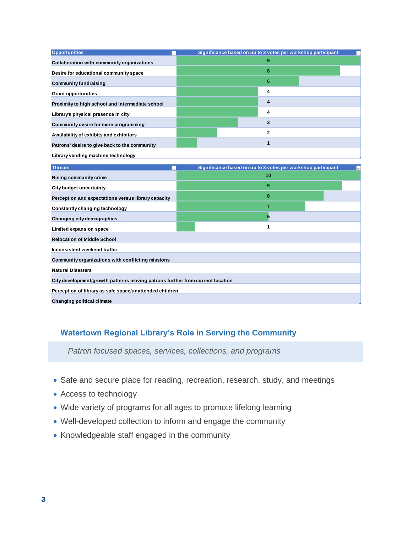| <b>Opportunities</b><br>$\mathbf{v}$                                          | Significance based on up to 3 votes per workshop participant |  |  |  |
|-------------------------------------------------------------------------------|--------------------------------------------------------------|--|--|--|
| Collaboration with community organizations                                    | 9                                                            |  |  |  |
| Desire for educational community space                                        | 8                                                            |  |  |  |
| <b>Community fundraising</b>                                                  | 6                                                            |  |  |  |
| <b>Grant opportunities</b>                                                    | 4                                                            |  |  |  |
| Proximity to high school and intermediate school                              | $\overline{\mathbf{4}}$                                      |  |  |  |
| Library's physical presence in city                                           | 4                                                            |  |  |  |
| Community desire for more programming                                         | 3                                                            |  |  |  |
| Availability of exhibits and exhibitors                                       | $\overline{2}$                                               |  |  |  |
| Patrons' desire to give back to the community                                 | $\mathbf{1}$                                                 |  |  |  |
| Library vending machine technology                                            |                                                              |  |  |  |
|                                                                               |                                                              |  |  |  |
| <b>Threats</b><br>$_{\rm v}$                                                  | Significance based on up to 3 votes per workshop participant |  |  |  |
| <b>Rising community crime</b>                                                 | 10                                                           |  |  |  |
| <b>City budget uncertainty</b>                                                | 9                                                            |  |  |  |
| Perception and expectations versus library capacity                           | 8                                                            |  |  |  |
| Constantly changing technology                                                | $\overline{7}$                                               |  |  |  |
| Changing city demographics                                                    | 5                                                            |  |  |  |
| Limited expansion space                                                       | 1                                                            |  |  |  |
| <b>Relocation of Middle School</b>                                            |                                                              |  |  |  |
| Inconsistent weekend traffic                                                  |                                                              |  |  |  |
| Community organizations with conflicting missions                             |                                                              |  |  |  |
| <b>Natural Disasters</b>                                                      |                                                              |  |  |  |
| City development/growth patterns moving patrons further from current location |                                                              |  |  |  |
| Perception of library as safe space/unattended children                       |                                                              |  |  |  |
| <b>Changing political climate</b>                                             |                                                              |  |  |  |
|                                                                               |                                                              |  |  |  |

## **Watertown Regional Library's Role in Serving the Community**

*Patron focused spaces, services, collections, and programs*

- Safe and secure place for reading, recreation, research, study, and meetings
- Access to technology
- Wide variety of programs for all ages to promote lifelong learning
- Well-developed collection to inform and engage the community
- Knowledgeable staff engaged in the community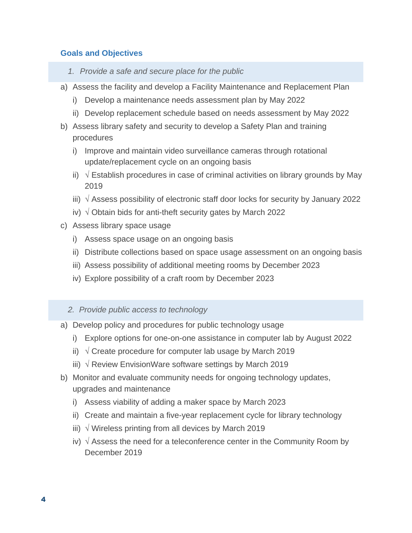## **Goals and Objectives**

- *1. Provide a safe and secure place for the public*
- a) Assess the facility and develop a Facility Maintenance and Replacement Plan
	- i) Develop a maintenance needs assessment plan by May 2022
	- ii) Develop replacement schedule based on needs assessment by May 2022
- b) Assess library safety and security to develop a Safety Plan and training procedures
	- i) Improve and maintain video surveillance cameras through rotational update/replacement cycle on an ongoing basis
	- ii)  $\sqrt{2}$  Establish procedures in case of criminal activities on library grounds by May 2019
	- iii)  $\sqrt{ }$  Assess possibility of electronic staff door locks for security by January 2022
	- iv)  $\sqrt{ }$  Obtain bids for anti-theft security gates by March 2022
- c) Assess library space usage
	- i) Assess space usage on an ongoing basis
	- ii) Distribute collections based on space usage assessment on an ongoing basis
	- iii) Assess possibility of additional meeting rooms by December 2023
	- iv) Explore possibility of a craft room by December 2023

## *2. Provide public access to technology*

- a) Develop policy and procedures for public technology usage
	- i) Explore options for one-on-one assistance in computer lab by August 2022
	- ii)  $\sqrt{}$  Create procedure for computer lab usage by March 2019
	- iii)  $√$  Review EnvisionWare software settings by March 2019
- b) Monitor and evaluate community needs for ongoing technology updates, upgrades and maintenance
	- i) Assess viability of adding a maker space by March 2023
	- ii) Create and maintain a five-year replacement cycle for library technology
	- iii)  $\sqrt{ }$  Wireless printing from all devices by March 2019
	- iv)  $\sqrt{ }$  Assess the need for a teleconference center in the Community Room by December 2019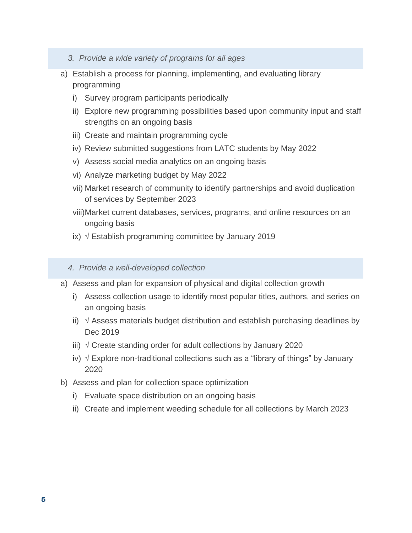- *3. Provide a wide variety of programs for all ages*
- a) Establish a process for planning, implementing, and evaluating library programming
	- i) Survey program participants periodically
	- ii) Explore new programming possibilities based upon community input and staff strengths on an ongoing basis
	- iii) Create and maintain programming cycle
	- iv) Review submitted suggestions from LATC students by May 2022
	- v) Assess social media analytics on an ongoing basis
	- vi) Analyze marketing budget by May 2022
	- vii) Market research of community to identify partnerships and avoid duplication of services by September 2023
	- viii)Market current databases, services, programs, and online resources on an ongoing basis
	- ix)  $\sqrt{ }$  Establish programming committee by January 2019

#### *4. Provide a well-developed collection*

- a) Assess and plan for expansion of physical and digital collection growth
	- i) Assess collection usage to identify most popular titles, authors, and series on an ongoing basis
	- ii)  $\sqrt{ }$  Assess materials budget distribution and establish purchasing deadlines by Dec 2019
	- iii)  $\sqrt{}$  Create standing order for adult collections by January 2020
	- iv) √ Explore non-traditional collections such as a "library of things" by January 2020
- b) Assess and plan for collection space optimization
	- i) Evaluate space distribution on an ongoing basis
	- ii) Create and implement weeding schedule for all collections by March 2023